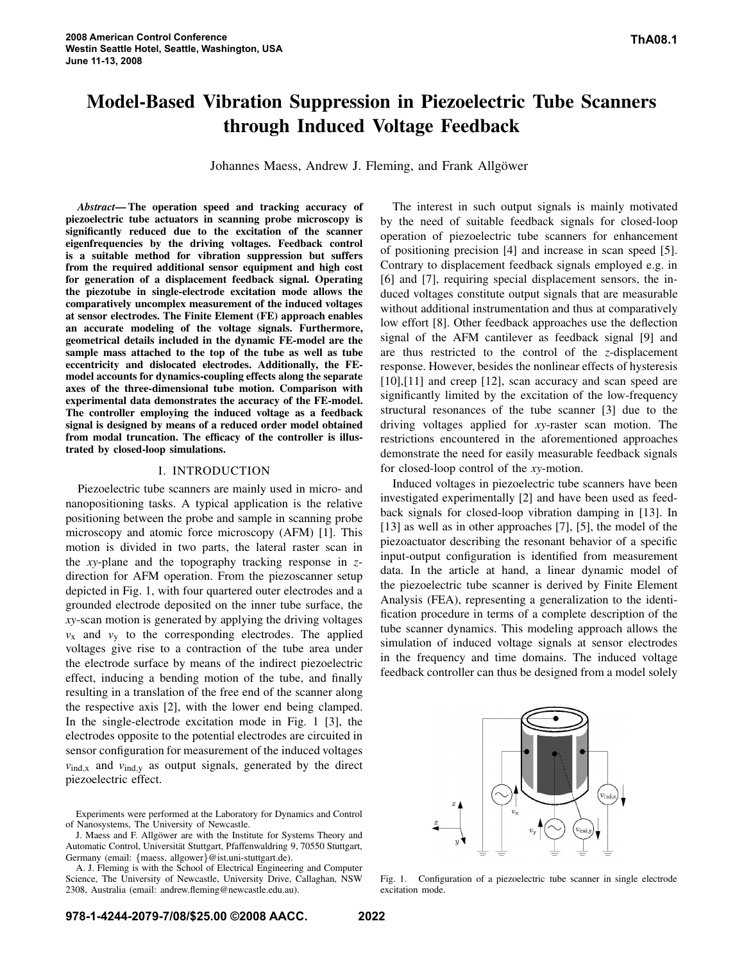# **Model-Based Vibration Suppression in Piezoelectric Tube Scanners through Induced Voltage Feedback**

Johannes Maess, Andrew J. Fleming, and Frank Allgöwer

*Abstract***— The operation speed and tracking accuracy of piezoelectric tube actuators in scanning probe microscopy is significantly reduced due to the excitation of the scanner eigenfrequencies by the driving voltages. Feedback control is a suitable method for vibration suppression but suffers from the required additional sensor equipment and high cost for generation of a displacement feedback signal. Operating the piezotube in single-electrode excitation mode allows the comparatively uncomplex measurement of the induced voltages at sensor electrodes. The Finite Element (FE) approach enables an accurate modeling of the voltage signals. Furthermore, geometrical details included in the dynamic FE-model are the sample mass attached to the top of the tube as well as tube eccentricity and dislocated electrodes. Additionally, the FEmodel accounts for dynamics-coupling effects along the separate axes of the three-dimensional tube motion. Comparison with experimental data demonstrates the accuracy of the FE-model. The controller employing the induced voltage as a feedback signal is designed by means of a reduced order model obtained from modal truncation. The efficacy of the controller is illustrated by closed-loop simulations.**

#### I. INTRODUCTION

Piezoelectric tube scanners are mainly used in micro- and nanopositioning tasks. A typical application is the relative positioning between the probe and sample in scanning probe microscopy and atomic force microscopy (AFM) [1]. This motion is divided in two parts, the lateral raster scan in the *xy*-plane and the topography tracking response in *z*direction for AFM operation. From the piezoscanner setup depicted in Fig. 1, with four quartered outer electrodes and a grounded electrode deposited on the inner tube surface, the *xy*-scan motion is generated by applying the driving voltages  $v_x$  and  $v_y$  to the corresponding electrodes. The applied voltages give rise to a contraction of the tube area under the electrode surface by means of the indirect piezoelectric effect, inducing a bending motion of the tube, and finally resulting in a translation of the free end of the scanner along the respective axis [2], with the lower end being clamped. In the single-electrode excitation mode in Fig. 1 [3], the electrodes opposite to the potential electrodes are circuited in sensor configuration for measurement of the induced voltages  $v_{\text{ind},x}$  and  $v_{\text{ind},y}$  as output signals, generated by the direct piezoelectric effect.

J. Maess and F. Allgöwer are with the Institute for Systems Theory and Automatic Control, Universität Stuttgart, Pfaffenwaldring 9, 70550 Stuttgart, Germany (email: {maess, allgower}@ist.uni-stuttgart.de).

A. J. Fleming is with the School of Electrical Engineering and Computer Science, The University of Newcastle, University Drive, Callaghan, NSW 2308, Australia (email: andrew.fleming@newcastle.edu.au).

by the need of suitable feedback signals for closed-loop operation of piezoelectric tube scanners for enhancement of positioning precision [4] and increase in scan speed [5]. Contrary to displacement feedback signals employed e.g. in [6] and [7], requiring special displacement sensors, the induced voltages constitute output signals that are measurable without additional instrumentation and thus at comparatively low effort [8]. Other feedback approaches use the deflection signal of the AFM cantilever as feedback signal [9] and are thus restricted to the control of the *z*-displacement response. However, besides the nonlinear effects of hysteresis [10],[11] and creep [12], scan accuracy and scan speed are significantly limited by the excitation of the low-frequency structural resonances of the tube scanner [3] due to the driving voltages applied for *xy*-raster scan motion. The restrictions encountered in the aforementioned approaches demonstrate the need for easily measurable feedback signals for closed-loop control of the *xy*-motion.

The interest in such output signals is mainly motivated

Induced voltages in piezoelectric tube scanners have been investigated experimentally [2] and have been used as feedback signals for closed-loop vibration damping in [13]. In [13] as well as in other approaches [7], [5], the model of the piezoactuator describing the resonant behavior of a specific input-output configuration is identified from measurement data. In the article at hand, a linear dynamic model of the piezoelectric tube scanner is derived by Finite Element Analysis (FEA), representing a generalization to the identification procedure in terms of a complete description of the tube scanner dynamics. This modeling approach allows the simulation of induced voltage signals at sensor electrodes in the frequency and time domains. The induced voltage feedback controller can thus be designed from a model solely



Fig. 1. Configuration of a piezoelectric tube scanner in single electrode excitation mode.

Experiments were performed at the Laboratory for Dynamics and Control of Nanosystems, The University of Newcastle.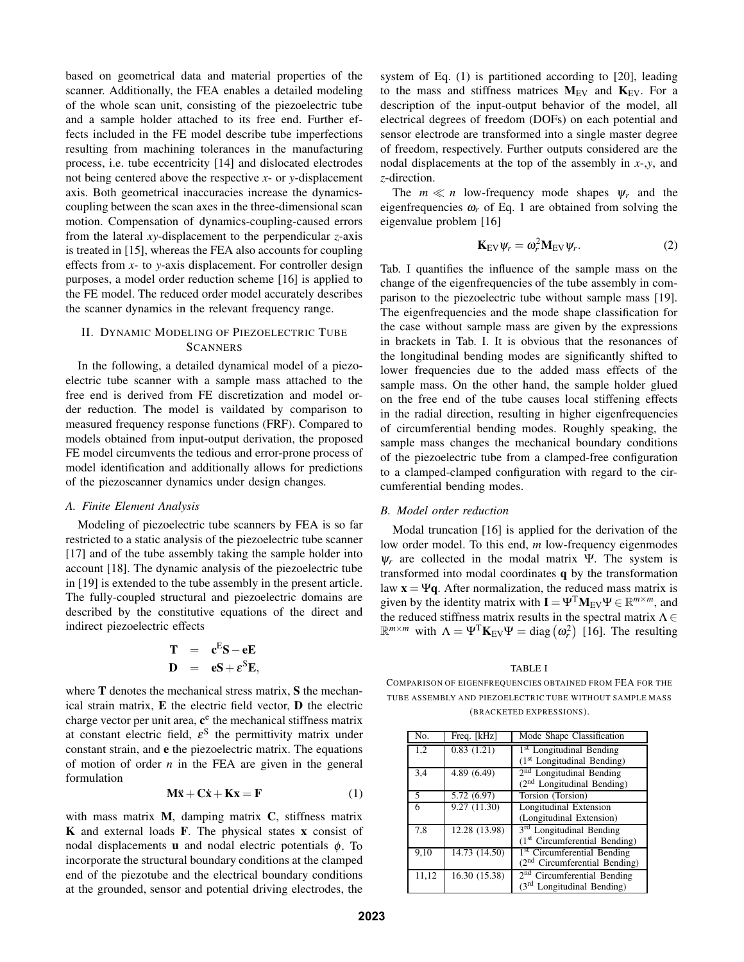based on geometrical data and material properties of the scanner. Additionally, the FEA enables a detailed modeling of the whole scan unit, consisting of the piezoelectric tube and a sample holder attached to its free end. Further effects included in the FE model describe tube imperfections resulting from machining tolerances in the manufacturing process, i.e. tube eccentricity [14] and dislocated electrodes not being centered above the respective *x*- or *y*-displacement axis. Both geometrical inaccuracies increase the dynamicscoupling between the scan axes in the three-dimensional scan motion. Compensation of dynamics-coupling-caused errors from the lateral *xy*-displacement to the perpendicular *z*-axis is treated in [15], whereas the FEA also accounts for coupling effects from *x*- to *y*-axis displacement. For controller design purposes, a model order reduction scheme [16] is applied to the FE model. The reduced order model accurately describes the scanner dynamics in the relevant frequency range.

# II. DYNAMIC MODELING OF PIEZOELECTRIC TUBE **SCANNERS**

In the following, a detailed dynamical model of a piezoelectric tube scanner with a sample mass attached to the free end is derived from FE discretization and model order reduction. The model is vaildated by comparison to measured frequency response functions (FRF). Compared to models obtained from input-output derivation, the proposed FE model circumvents the tedious and error-prone process of model identification and additionally allows for predictions of the piezoscanner dynamics under design changes.

#### *A. Finite Element Analysis*

Modeling of piezoelectric tube scanners by FEA is so far restricted to a static analysis of the piezoelectric tube scanner [17] and of the tube assembly taking the sample holder into account [18]. The dynamic analysis of the piezoelectric tube in [19] is extended to the tube assembly in the present article. The fully-coupled structural and piezoelectric domains are described by the constitutive equations of the direct and indirect piezoelectric effects

$$
T = cES - eE
$$
  

$$
D = eS + \varepsilonSE,
$$

where **T** denotes the mechanical stress matrix, **S** the mechanical strain matrix, **E** the electric field vector, **D** the electric charge vector per unit area,  $c^e$  the mechanical stiffness matrix at constant electric field,  $\varepsilon^S$  the permittivity matrix under constant strain, and **e** the piezoelectric matrix. The equations of motion of order *n* in the FEA are given in the general formulation

$$
\mathbf{M}\ddot{\mathbf{x}} + \mathbf{C}\dot{\mathbf{x}} + \mathbf{K}\mathbf{x} = \mathbf{F} \tag{1}
$$

with mass matrix **M**, damping matrix **C**, stiffness matrix **K** and external loads **F**. The physical states **x** consist of nodal displacements **u** and nodal electric potentials φ. To incorporate the structural boundary conditions at the clamped end of the piezotube and the electrical boundary conditions at the grounded, sensor and potential driving electrodes, the system of Eq. (1) is partitioned according to [20], leading to the mass and stiffness matrices  $M_{EV}$  and  $K_{EV}$ . For a description of the input-output behavior of the model, all electrical degrees of freedom (DOFs) on each potential and sensor electrode are transformed into a single master degree of freedom, respectively. Further outputs considered are the nodal displacements at the top of the assembly in *x*-,*y*, and *z*-direction.

The  $m \ll n$  low-frequency mode shapes  $\psi_r$  and the eigenfrequencies  $\omega_r$  of Eq. 1 are obtained from solving the eigenvalue problem [16]

$$
\mathbf{K}_{\rm EV} \psi_r = \omega_r^2 \mathbf{M}_{\rm EV} \psi_r. \tag{2}
$$

Tab. I quantifies the influence of the sample mass on the change of the eigenfrequencies of the tube assembly in comparison to the piezoelectric tube without sample mass [19]. The eigenfrequencies and the mode shape classification for the case without sample mass are given by the expressions in brackets in Tab. I. It is obvious that the resonances of the longitudinal bending modes are significantly shifted to lower frequencies due to the added mass effects of the sample mass. On the other hand, the sample holder glued on the free end of the tube causes local stiffening effects in the radial direction, resulting in higher eigenfrequencies of circumferential bending modes. Roughly speaking, the sample mass changes the mechanical boundary conditions of the piezoelectric tube from a clamped-free configuration to a clamped-clamped configuration with regard to the circumferential bending modes.

# *B. Model order reduction*

Modal truncation [16] is applied for the derivation of the low order model. To this end, *m* low-frequency eigenmodes  $\psi_r$  are collected in the modal matrix Ψ. The system is transformed into modal coordinates **q** by the transformation law  $\mathbf{x} = \Psi \mathbf{q}$ . After normalization, the reduced mass matrix is given by the identity matrix with  $\mathbf{I} = \Psi^T \mathbf{M}_{EV} \Psi \in \mathbb{R}^{m \times m}$ , and the reduced stiffness matrix results in the spectral matrix  $\Lambda \in$  $\mathbb{R}^{m \times m}$  with  $\Lambda = \Psi^T \mathbf{K}_{EV} \Psi = \text{diag}(\omega_r^2)$  [16]. The resulting

#### TABLE I

COMPARISON OF EIGENFREQUENCIES OBTAINED FROM FEA FOR THE TUBE ASSEMBLY AND PIEZOELECTRIC TUBE WITHOUT SAMPLE MASS (BRACKETED EXPRESSIONS).

| No.   | Freq. [kHz]              | Mode Shape Classification               |
|-------|--------------------------|-----------------------------------------|
| 1,2   | $\overline{0.83}$ (1.21) | <sup>1st</sup> Longitudinal Bending     |
|       |                          | $(1st$ Longitudinal Bending)            |
| 3,4   | 4.89 (6.49)              | 2 <sup>nd</sup> Longitudinal Bending    |
|       |                          | $(2nd$ Longitudinal Bending)            |
| 5     | 5.72 (6.97)              | Torsion (Torsion)                       |
| 6     | 9.27 (11.30)             | Longitudinal Extension                  |
|       |                          | (Longitudinal Extension)                |
| 7,8   | 12.28 (13.98)            | <sup>3rd</sup> Longitudinal Bending     |
|       |                          | $(1st Circumferential Bending)$         |
| 9,10  | 14.73(14.50)             | <sup>1st</sup> Circumferential Bending  |
|       |                          | $(2nd Circumferential Bending)$         |
| 11,12 | 16.30 (15.38)            | 2 <sup>nd</sup> Circumferential Bending |
|       |                          | (3rd Longitudinal Bending)              |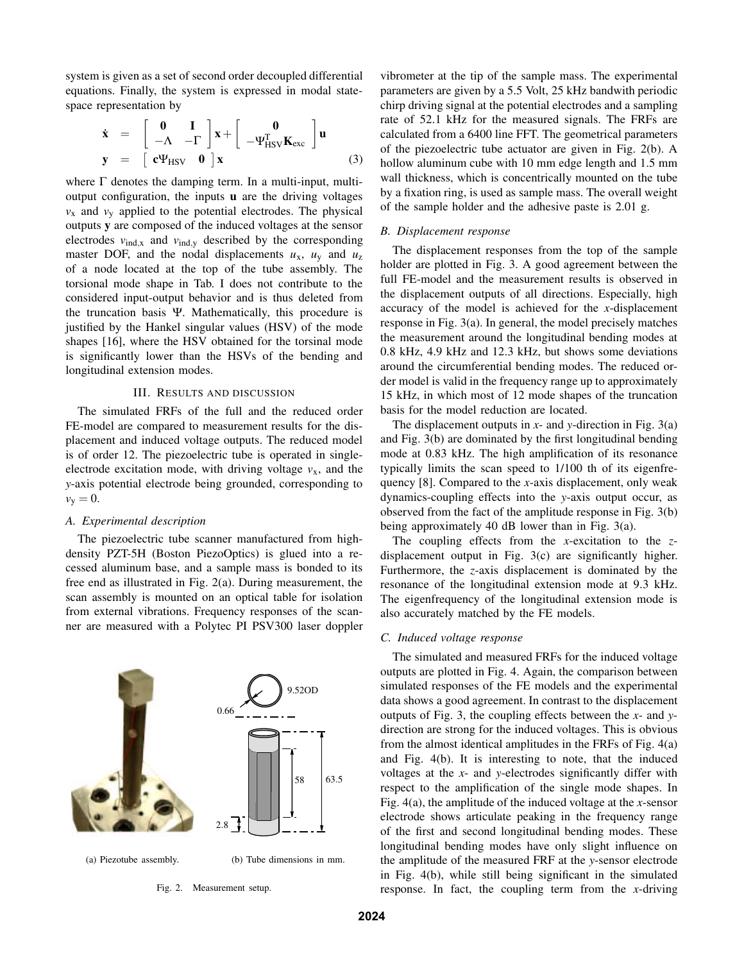system is given as a set of second order decoupled differential equations. Finally, the system is expressed in modal statespace representation by

$$
\dot{\mathbf{x}} = \begin{bmatrix} \mathbf{0} & \mathbf{I} \\ -\Lambda & -\Gamma \end{bmatrix} \mathbf{x} + \begin{bmatrix} \mathbf{0} \\ -\Psi_{\rm HSV}^{\rm T} \mathbf{K}_{\rm exc} \end{bmatrix} \mathbf{u}
$$
  

$$
\mathbf{y} = \begin{bmatrix} \mathbf{c} \Psi_{\rm HSV} & \mathbf{0} \end{bmatrix} \mathbf{x}
$$
 (3)

where  $\Gamma$  denotes the damping term. In a multi-input, multioutput configuration, the inputs **u** are the driving voltages  $v_x$  and  $v_y$  applied to the potential electrodes. The physical outputs **y** are composed of the induced voltages at the sensor electrodes  $v_{\text{ind},x}$  and  $v_{\text{ind},y}$  described by the corresponding master DOF, and the nodal displacements  $u_x$ ,  $u_y$  and  $u_z$ of a node located at the top of the tube assembly. The torsional mode shape in Tab. I does not contribute to the considered input-output behavior and is thus deleted from the truncation basis Ψ. Mathematically, this procedure is justified by the Hankel singular values (HSV) of the mode shapes [16], where the HSV obtained for the torsinal mode is significantly lower than the HSVs of the bending and longitudinal extension modes.

# III. RESULTS AND DISCUSSION

The simulated FRFs of the full and the reduced order FE-model are compared to measurement results for the displacement and induced voltage outputs. The reduced model is of order 12. The piezoelectric tube is operated in singleelectrode excitation mode, with driving voltage  $v<sub>x</sub>$ , and the *y*-axis potential electrode being grounded, corresponding to  $v_y = 0$ .

## *A. Experimental description*

The piezoelectric tube scanner manufactured from highdensity PZT-5H (Boston PiezoOptics) is glued into a recessed aluminum base, and a sample mass is bonded to its free end as illustrated in Fig. 2(a). During measurement, the scan assembly is mounted on an optical table for isolation from external vibrations. Frequency responses of the scanner are measured with a Polytec PI PSV300 laser doppler



(a) Piezotube assembly.

(b) Tube dimensions in mm.

Fig. 2. Measurement setup.

vibrometer at the tip of the sample mass. The experimental parameters are given by a 5.5 Volt, 25 kHz bandwith periodic chirp driving signal at the potential electrodes and a sampling rate of 52.1 kHz for the measured signals. The FRFs are calculated from a 6400 line FFT. The geometrical parameters of the piezoelectric tube actuator are given in Fig. 2(b). A hollow aluminum cube with 10 mm edge length and 1.5 mm wall thickness, which is concentrically mounted on the tube by a fixation ring, is used as sample mass. The overall weight of the sample holder and the adhesive paste is 2.01 g.

#### *B. Displacement response*

The displacement responses from the top of the sample holder are plotted in Fig. 3. A good agreement between the full FE-model and the measurement results is observed in the displacement outputs of all directions. Especially, high accuracy of the model is achieved for the *x*-displacement response in Fig. 3(a). In general, the model precisely matches the measurement around the longitudinal bending modes at 0.8 kHz, 4.9 kHz and 12.3 kHz, but shows some deviations around the circumferential bending modes. The reduced order model is valid in the frequency range up to approximately 15 kHz, in which most of 12 mode shapes of the truncation basis for the model reduction are located.

The displacement outputs in *x*- and *y*-direction in Fig. 3(a) and Fig. 3(b) are dominated by the first longitudinal bending mode at 0.83 kHz. The high amplification of its resonance typically limits the scan speed to 1/100 th of its eigenfrequency [8]. Compared to the *x*-axis displacement, only weak dynamics-coupling effects into the *y*-axis output occur, as observed from the fact of the amplitude response in Fig. 3(b) being approximately 40 dB lower than in Fig. 3(a).

The coupling effects from the *x*-excitation to the *z*displacement output in Fig. 3(c) are significantly higher. Furthermore, the *z*-axis displacement is dominated by the resonance of the longitudinal extension mode at 9.3 kHz. The eigenfrequency of the longitudinal extension mode is also accurately matched by the FE models.

# *C. Induced voltage response*

The simulated and measured FRFs for the induced voltage outputs are plotted in Fig. 4. Again, the comparison between simulated responses of the FE models and the experimental data shows a good agreement. In contrast to the displacement outputs of Fig. 3, the coupling effects between the *x*- and *y*direction are strong for the induced voltages. This is obvious from the almost identical amplitudes in the FRFs of Fig. 4(a) and Fig. 4(b). It is interesting to note, that the induced voltages at the *x*- and *y*-electrodes significantly differ with respect to the amplification of the single mode shapes. In Fig. 4(a), the amplitude of the induced voltage at the *x*-sensor electrode shows articulate peaking in the frequency range of the first and second longitudinal bending modes. These longitudinal bending modes have only slight influence on the amplitude of the measured FRF at the *y*-sensor electrode in Fig. 4(b), while still being significant in the simulated response. In fact, the coupling term from the *x*-driving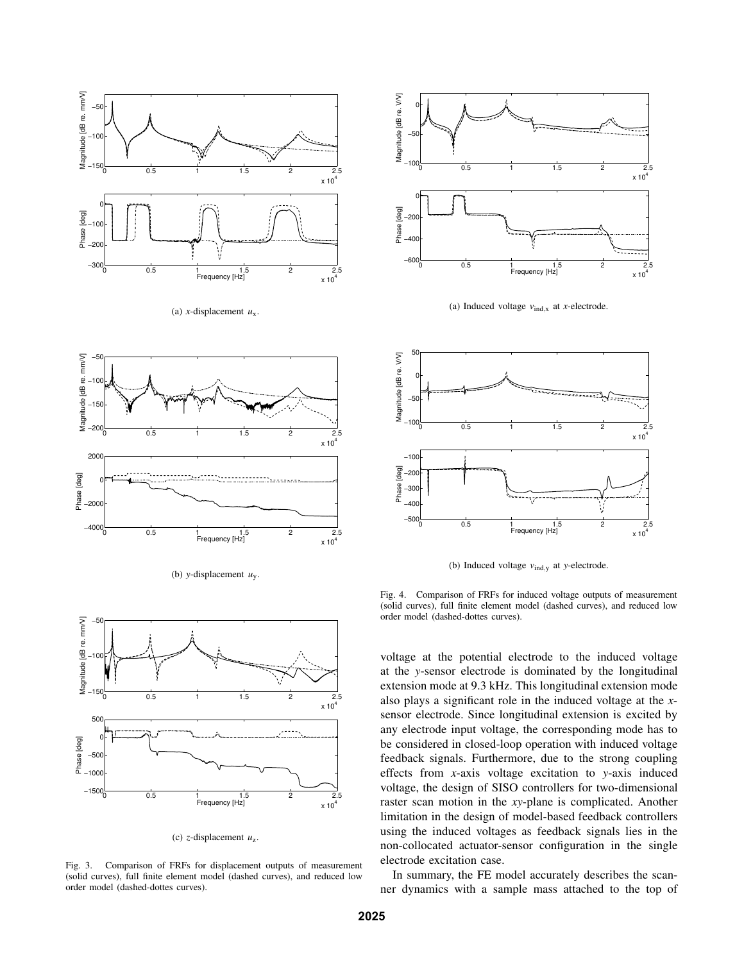

(a) *x*-displacement *u*x.







(c) *z*-displacement *u*z.

Fig. 3. Comparison of FRFs for displacement outputs of measurement (solid curves), full finite element model (dashed curves), and reduced low order model (dashed-dottes curves).



(a) Induced voltage  $v_{\text{ind},x}$  at *x*-electrode.



(b) Induced voltage *v*ind,<sup>y</sup> at *y*-electrode.

Fig. 4. Comparison of FRFs for induced voltage outputs of measurement (solid curves), full finite element model (dashed curves), and reduced low order model (dashed-dottes curves).

voltage at the potential electrode to the induced voltage at the *y*-sensor electrode is dominated by the longitudinal extension mode at 9.3 kHz. This longitudinal extension mode also plays a significant role in the induced voltage at the *x*sensor electrode. Since longitudinal extension is excited by any electrode input voltage, the corresponding mode has to be considered in closed-loop operation with induced voltage feedback signals. Furthermore, due to the strong coupling effects from *x*-axis voltage excitation to *y*-axis induced voltage, the design of SISO controllers for two-dimensional raster scan motion in the *xy*-plane is complicated. Another limitation in the design of model-based feedback controllers using the induced voltages as feedback signals lies in the non-collocated actuator-sensor configuration in the single electrode excitation case.

In summary, the FE model accurately describes the scanner dynamics with a sample mass attached to the top of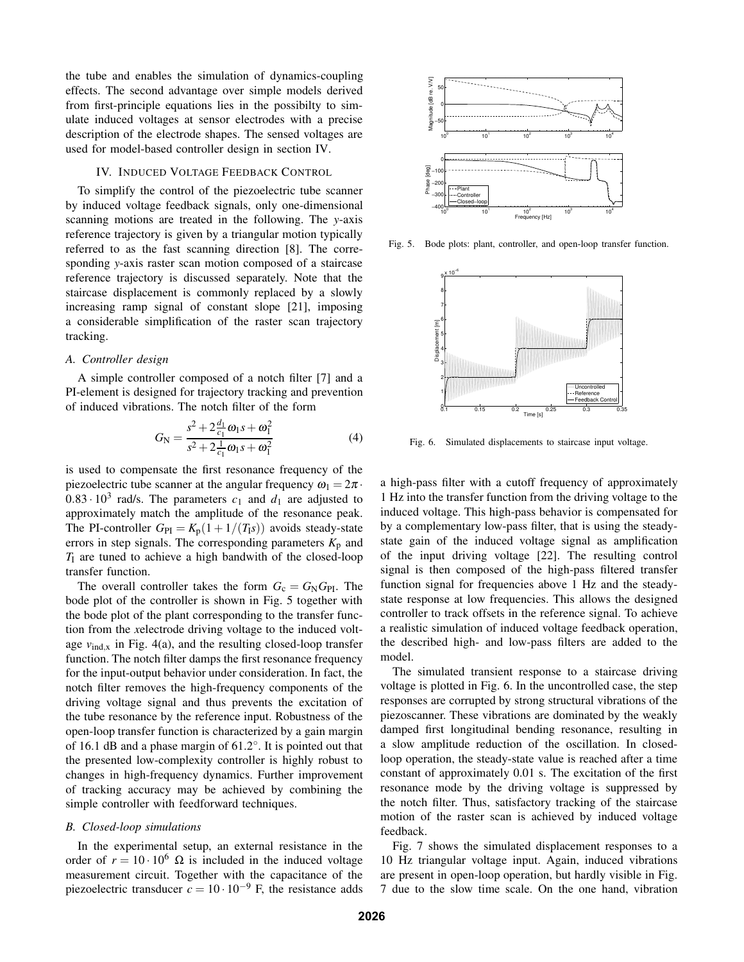the tube and enables the simulation of dynamics-coupling effects. The second advantage over simple models derived from first-principle equations lies in the possibilty to simulate induced voltages at sensor electrodes with a precise description of the electrode shapes. The sensed voltages are used for model-based controller design in section IV.

## IV. INDUCED VOLTAGE FEEDBACK CONTROL

To simplify the control of the piezoelectric tube scanner by induced voltage feedback signals, only one-dimensional scanning motions are treated in the following. The *y*-axis reference trajectory is given by a triangular motion typically referred to as the fast scanning direction [8]. The corresponding *y*-axis raster scan motion composed of a staircase reference trajectory is discussed separately. Note that the staircase displacement is commonly replaced by a slowly increasing ramp signal of constant slope [21], imposing a considerable simplification of the raster scan trajectory tracking.

# *A. Controller design*

A simple controller composed of a notch filter [7] and a PI-element is designed for trajectory tracking and prevention of induced vibrations. The notch filter of the form

$$
G_{\rm N} = \frac{s^2 + 2\frac{d_1}{c_1}\omega_1 s + \omega_1^2}{s^2 + 2\frac{1}{c_1}\omega_1 s + \omega_1^2}
$$
(4)

is used to compensate the first resonance frequency of the piezoelectric tube scanner at the angular frequency  $\omega_1 = 2\pi$ .  $0.83 \cdot 10^3$  rad/s. The parameters  $c_1$  and  $d_1$  are adjusted to approximately match the amplitude of the resonance peak. The PI-controller  $G_{PI} = K_p(1 + 1/(T_I s))$  avoids steady-state errors in step signals. The corresponding parameters  $K_p$  and  $T_1$  are tuned to achieve a high bandwith of the closed-loop transfer function.

The overall controller takes the form  $G_c = G_N G_{Pl}$ . The bode plot of the controller is shown in Fig. 5 together with the bode plot of the plant corresponding to the transfer function from the *x*electrode driving voltage to the induced voltage  $v_{\text{ind},x}$  in Fig. 4(a), and the resulting closed-loop transfer function. The notch filter damps the first resonance frequency for the input-output behavior under consideration. In fact, the notch filter removes the high-frequency components of the driving voltage signal and thus prevents the excitation of the tube resonance by the reference input. Robustness of the open-loop transfer function is characterized by a gain margin of 16.1 dB and a phase margin of  $61.2^\circ$ . It is pointed out that the presented low-complexity controller is highly robust to changes in high-frequency dynamics. Further improvement of tracking accuracy may be achieved by combining the simple controller with feedforward techniques.

### *B. Closed-loop simulations*

In the experimental setup, an external resistance in the order of  $r = 10 \cdot 10^6 \Omega$  is included in the induced voltage measurement circuit. Together with the capacitance of the piezoelectric transducer  $c = 10 \cdot 10^{-9}$  F, the resistance adds

![](_page_4_Figure_10.jpeg)

Fig. 5. Bode plots: plant, controller, and open-loop transfer function.

![](_page_4_Figure_12.jpeg)

Fig. 6. Simulated displacements to staircase input voltage.

a high-pass filter with a cutoff frequency of approximately 1 Hz into the transfer function from the driving voltage to the induced voltage. This high-pass behavior is compensated for by a complementary low-pass filter, that is using the steadystate gain of the induced voltage signal as amplification of the input driving voltage [22]. The resulting control signal is then composed of the high-pass filtered transfer function signal for frequencies above 1 Hz and the steadystate response at low frequencies. This allows the designed controller to track offsets in the reference signal. To achieve a realistic simulation of induced voltage feedback operation, the described high- and low-pass filters are added to the model.

The simulated transient response to a staircase driving voltage is plotted in Fig. 6. In the uncontrolled case, the step responses are corrupted by strong structural vibrations of the piezoscanner. These vibrations are dominated by the weakly damped first longitudinal bending resonance, resulting in a slow amplitude reduction of the oscillation. In closedloop operation, the steady-state value is reached after a time constant of approximately 0.01 s. The excitation of the first resonance mode by the driving voltage is suppressed by the notch filter. Thus, satisfactory tracking of the staircase motion of the raster scan is achieved by induced voltage feedback.

Fig. 7 shows the simulated displacement responses to a 10 Hz triangular voltage input. Again, induced vibrations are present in open-loop operation, but hardly visible in Fig. 7 due to the slow time scale. On the one hand, vibration